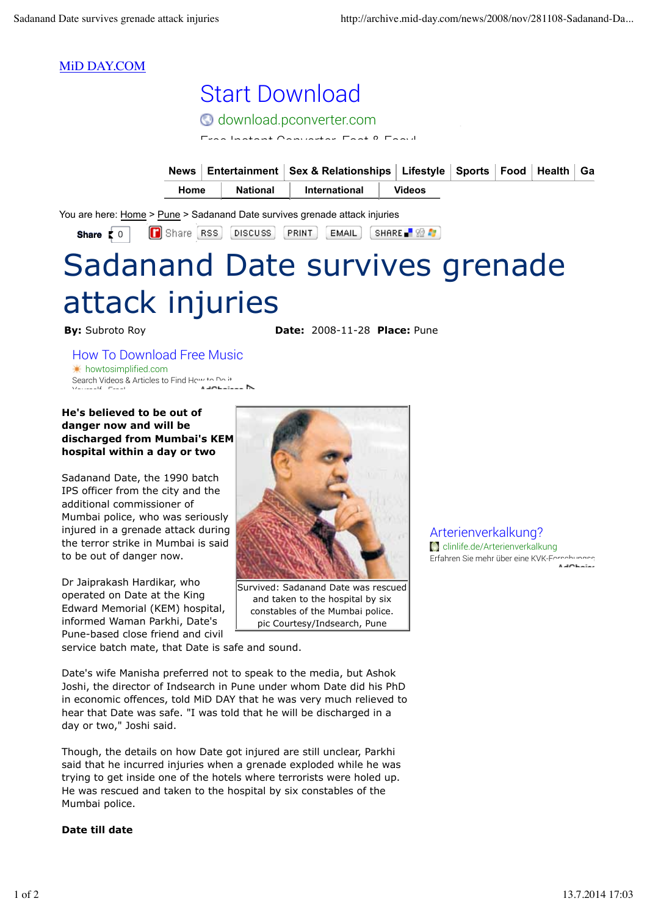## MiD DAY.COM

|      | O download.pconverter.com                                                                                    |  |  |  |
|------|--------------------------------------------------------------------------------------------------------------|--|--|--|
|      | $\Gamma_{\text{max}}$ , leads at $\Delta$ and contain $\Gamma_{\text{max}}$ $\Omega$ $\Gamma_{\text{max}}$ . |  |  |  |
|      |                                                                                                              |  |  |  |
| News | Entertainment   Sex & Relationships   Lifestyle   Sports   Food   Health   Ga                                |  |  |  |

Share RSS DISCUSS PRINT EMAIL SHARE 2 1 **Share**  $\begin{bmatrix} 0 \end{bmatrix}$ 

# Sadanand Date survives grenade attack injuries

**By:** Subroto Roy **Date:** 2008-11-28 **Place:** Pune

## How To Download Free Music

howtosimplified.com Search Videos & Articles to Find How to Do it Yourself - Free!

#### **He's believed to be out of danger now and will be discharged from Mumbai's KEM hospital within a day or two**

Sadanand Date, the 1990 batch IPS officer from the city and the additional commissioner of Mumbai police, who was seriously injured in a grenade attack during the terror strike in Mumbai is said to be out of danger now.

Dr Jaiprakash Hardikar, who operated on Date at the King Edward Memorial (KEM) hospital, informed Waman Parkhi, Date's Pune-based close friend and civil



Survived: Sadanand Date was rescued and taken to the hospital by six constables of the Mumbai police. pic Courtesy/Indsearch, Pune

service batch mate, that Date is safe and sound.

Date's wife Manisha preferred not to speak to the media, but Ashok Joshi, the director of Indsearch in Pune under whom Date did his PhD in economic offences, told MiD DAY that he was very much relieved to hear that Date was safe. "I was told that he will be discharged in a day or two," Joshi said.

Though, the details on how Date got injured are still unclear, Parkhi said that he incurred injuries when a grenade exploded while he was trying to get inside one of the hotels where terrorists were holed up. He was rescued and taken to the hospital by six constables of the Mumbai police.

#### **Date till date**

Arterienverkalkung? **C** clinlife.de/Arterienverkalkung Erfahren Sie mehr über eine KVK-Forschungsst